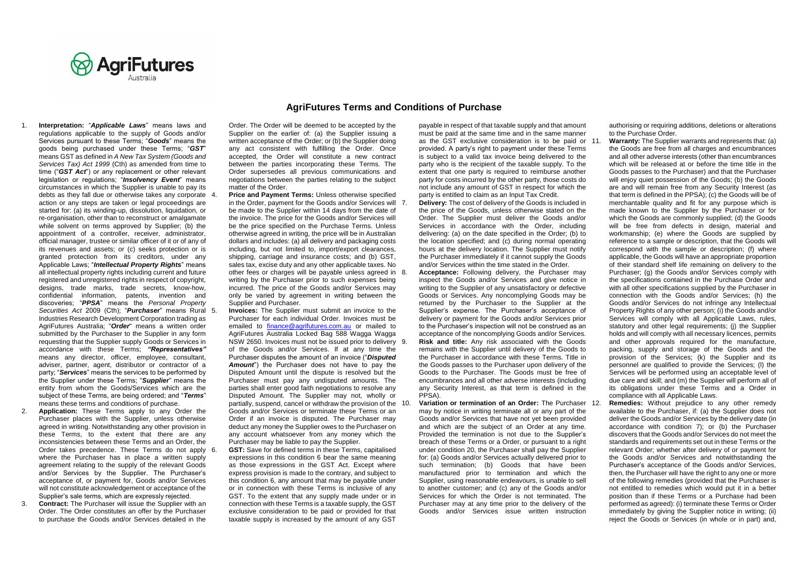

1. **Interpretation:** "*Applicable Laws*" means laws and regulations applicable to the supply of Goods and/or Services pursuant to these Terms; "*Goods*" means the goods being purchased under these Terms; "*GST*" means GST as defined in *A New Tax System (Goods and Services Tax) Act 1999* (Cth) as amended from time to time ("*GST Act*") or any replacement or other relevant legislation or regulations; "*Insolvency Event*" means circumstances in which the Supplier is unable to pay its debts as they fall due or otherwise takes any corporate action or any steps are taken or legal proceedings are started for: (a) its winding-up, dissolution, liquidation, or re-organisation, other than to reconstruct or amalgamate while solvent on terms approved by Supplier; (b) the appointment of a controller, receiver, administrator official manager, trustee or similar officer of it or of any of its revenues and assets; or (c) seeks protection or is granted protection from its creditors, under any Applicable Laws; "*Intellectual Property Rights*" means all intellectual property rights including current and future registered and unregistered rights in respect of copyright, designs, trade marks, trade secrets, know-how, confidential information, patents, invention and discoveries; "*PPSA*" means the *Personal Property Securities Act* 2009 (Cth); "*Purchaser*" means Rural Industries Research Development Corporation trading as AgriFutures Australia; "*Order*" means a written order submitted by the Purchaser to the Supplier in any form requesting that the Supplier supply Goods or Services in accordance with these Terms; *"Representatives"*  means any director, officer, employee, consultant, adviser, partner, agent, distributor or contractor of a party; "*Services*" means the services to be performed by the Supplier under these Terms; "*Supplier*" means the entity from whom the Goods/Services which are the subject of these Terms, are being ordered; and "*Terms*" means these terms and conditions of purchase.

- 2. **Application:** These Terms apply to any Order the Purchaser places with the Supplier, unless otherwise agreed in writing. Notwithstanding any other provision in these Terms, to the extent that there are any inconsistencies between these Terms and an Order, the Order takes precedence. These Terms do not apply 6. where the Purchaser has in place a written supply agreement relating to the supply of the relevant Goods and/or Services by the Supplier. The Purchaser's acceptance of, or payment for, Goods and/or Services will not constitute acknowledgement or acceptance of the Supplier's sale terms, which are expressly rejected.
- 3. **Contract:** The Purchaser will issue the Supplier with an Order. The Order constitutes an offer by the Purchaser to purchase the Goods and/or Services detailed in the

## **AgriFutures Terms and Conditions of Purchase**

Order. The Order will be deemed to be accepted by the Supplier on the earlier of: (a) the Supplier issuing a written acceptance of the Order; or (b) the Supplier doing any act consistent with fulfilling the Order. Once accepted, the Order will constitute a new contract between the parties incorporating these Terms. The Order supersedes all previous communications and negotiations between the parties relating to the subject matter of the Order.

- **Price and Payment Terms: Unless otherwise specified** in the Order, payment for the Goods and/or Services will 7. be made to the Supplier within 14 days from the date of the invoice. The price for the Goods and/or Services will be the price specified on the Purchase Terms. Unless otherwise agreed in writing, the price will be in Australian dollars and includes: (a) all delivery and packaging costs including, but not limited to, import/export clearances, shipping, carriage and insurance costs; and (b) GST, sales tax, excise duty and any other applicable taxes. No other fees or charges will be payable unless agreed in 8. writing by the Purchaser prior to such expenses being incurred. The price of the Goods and/or Services may only be varied by agreement in writing between the Supplier and Purchaser.
- **Invoices:** The Supplier must submit an invoice to the Purchaser for each individual Order. Invoices must be emailed to [finance@agrifutures.com.au](mailto:finance@agrifutures.com.au) or mailed to AgriFutures Australia Locked Bag 588 Wagga Wagga NSW 2650. Invoices must not be issued prior to delivery 9. of the Goods and/or Services. If at any time the Purchaser disputes the amount of an invoice ("*Disputed Amount*") the Purchaser does not have to pay the Disputed Amount until the dispute is resolved but the Purchaser must pay any undisputed amounts. The parties shall enter good faith negotiations to resolve any Disputed Amount. The Supplier may not, wholly or partially, suspend, cancel or withdraw the provision of the Goods and/or Services or terminate these Terms or an Order if an invoice is disputed. The Purchaser may deduct any money the Supplier owes to the Purchaser on any account whatsoever from any money which the Purchaser may be liable to pay the Supplier.
- 6. **GST:** Save for defined terms in these Terms, capitalised expressions in this condition 6 bear the same meaning as those expressions in the GST Act. Except where express provision is made to the contrary, and subject to this condition 6, any amount that may be payable under or in connection with these Terms is inclusive of any GST. To the extent that any supply made under or in connection with these Terms is a taxable supply, the GST exclusive consideration to be paid or provided for that taxable supply is increased by the amount of any GST

payable in respect of that taxable supply and that amount must be paid at the same time and in the same manner as the GST exclusive consideration is to be paid or provided. A party's right to payment under these Terms is subject to a valid tax invoice being delivered to the party who is the recipient of the taxable supply. To the extent that one party is required to reimburse another party for costs incurred by the other party, those costs do not include any amount of GST in respect for which the party is entitled to claim as an Input Tax Credit.

**Deliverv:** The cost of delivery of the Goods is included in the price of the Goods, unless otherwise stated on the Order. The Supplier must deliver the Goods and/or Services in accordance with the Order, including delivering: (a) on the date specified in the Order; (b) to the location specified; and (c) during normal operating hours at the delivery location. The Supplier must notify the Purchaser immediately if it cannot supply the Goods and/or Services within the time stated in the Order.

Acceptance: Following delivery, the Purchaser may inspect the Goods and/or Services and give notice in writing to the Supplier of any unsatisfactory or defective Goods or Services. Any noncomplying Goods may be returned by the Purchaser to the Supplier at the Supplier's expense. The Purchaser's acceptance of delivery or payment for the Goods and/or Services prior to the Purchaser's inspection will not be construed as an acceptance of the noncomplying Goods and/or Services. 9. **Risk and title:** Any risk associated with the Goods remains with the Supplier until delivery of the Goods to the Purchaser in accordance with these Terms. Title in the Goods passes to the Purchaser upon delivery of the Goods to the Purchaser. The Goods must be free of encumbrances and all other adverse interests (including any Security Interest, as that term is defined in the PPSA).

**Variation or termination of an Order:** The Purchaser 12. may by notice in writing terminate all or any part of the Goods and/or Services that have not yet been provided and which are the subject of an Order at any time. Provided the termination is not due to the Supplier's breach of these Terms or a Order, or pursuant to a right under condition 20, the Purchaser shall pay the Supplier for: (a) Goods and/or Services actually delivered prior to such termination; (b) Goods that have been manufactured prior to termination and which the Supplier, using reasonable endeavours, is unable to sell to another customer; and (c) any of the Goods and/or Services for which the Order is not terminated. The Purchaser may at any time prior to the delivery of the Goods and/or Services issue written instruction

authorising or requiring additions, deletions or alterations to the Purchase Order.

- **Warranty:** The Supplier warrants and represents that: (a) the Goods are free from all charges and encumbrances and all other adverse interests (other than encumbrances which will be released at or before the time title in the Goods passes to the Purchaser) and that the Purchaser will enjoy quiet possession of the Goods; (b) the Goods are and will remain free from any Security Interest (as that term is defined in the PPSA); (c) the Goods will be of merchantable quality and fit for any purpose which is made known to the Supplier by the Purchaser or for which the Goods are commonly supplied; (d) the Goods will be free from defects in design, material and workmanship; (e) where the Goods are supplied by reference to a sample or description, that the Goods will correspond with the sample or description; (f) where applicable, the Goods will have an appropriate proportion of their standard shelf life remaining on delivery to the Purchaser; (g) the Goods and/or Services comply with the specifications contained in the Purchase Order and with all other specifications supplied by the Purchaser in connection with the Goods and/or Services; (h) the Goods and/or Services do not infringe any Intellectual Property Rights of any other person; (i) the Goods and/or Services will comply with all Applicable Laws, rules, statutory and other legal requirements; (j) the Supplier holds and will comply with all necessary licences, permits and other approvals required for the manufacture, packing, supply and storage of the Goods and the provision of the Services; (k) the Supplier and its personnel are qualified to provide the Services; (l) the Services will be performed using an acceptable level of due care and skill; and (m) the Supplier will perform all of its obligations under these Terms and a Order in compliance with all Applicable Laws.
- Remedies: Without prejudice to any other remedy available to the Purchaser, if: (a) the Supplier does not deliver the Goods and/or Services by the delivery date (in accordance with condition 7); or (b) the Purchaser discovers that the Goods and/or Services do not meet the standards and requirements set out in these Terms or the relevant Order; whether after delivery of or payment for the Goods and/or Services and notwithstanding the Purchaser's acceptance of the Goods and/or Services, then, the Purchaser will have the right to any one or more of the following remedies (provided that the Purchaser is not entitled to remedies which would put it in a better position than if these Terms or a Purchase had been performed as agreed): (i) terminate these Terms or Order immediately by giving the Supplier notice in writing; (ii) reject the Goods or Services (in whole or in part) and,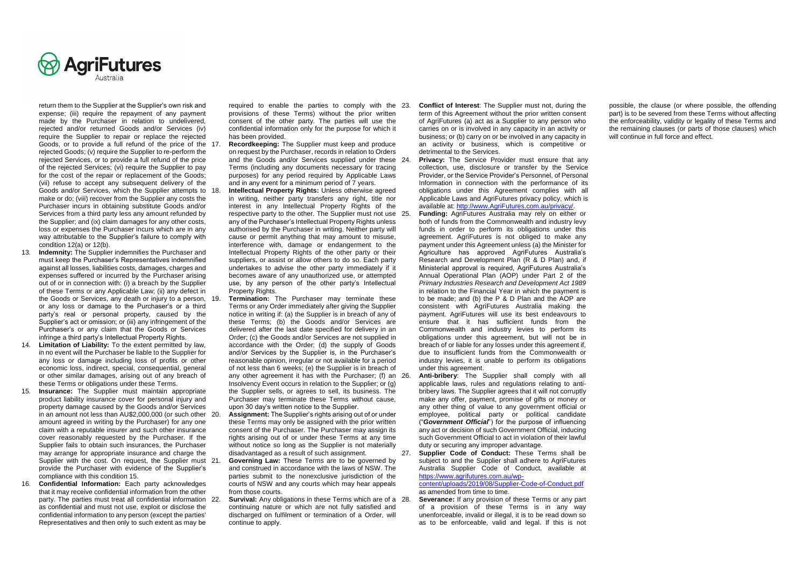

return them to the Supplier at the Supplier's own risk and expense; (iii) require the repayment of any payment made by the Purchaser in relation to undelivered, rejected and/or returned Goods and/or Services (iv) require the Supplier to repair or replace the rejected Goods, or to provide a full refund of the price of the 17. rejected Goods; (v) require the Supplier to re-perform the rejected Services, or to provide a full refund of the price of the rejected Services; (vi) require the Supplier to pay for the cost of the repair or replacement of the Goods: (vii) refuse to accept any subsequent delivery of the Goods and/or Services, which the Supplier attempts to 18. make or do; (viii) recover from the Supplier any costs the Purchaser incurs in obtaining substitute Goods and/or Services from a third party less any amount refunded by the Supplier; and (ix) claim damages for any other costs, loss or expenses the Purchaser incurs which are in any way attributable to the Supplier's failure to comply with condition 12(a) or 12(b).

- 13. **Indemnity:** The Supplier indemnifies the Purchaser and must keep the Purchaser's Representatives indemnified against all losses, liabilities costs, damages, charges and expenses suffered or incurred by the Purchaser arising out of or in connection with: (i) a breach by the Supplier of these Terms or any Applicable Law; (ii) any defect in the Goods or Services, any death or injury to a person, 19. **Termination:** The Purchaser may terminate these or any loss or damage to the Purchaser's or a third party's real or personal property, caused by the Supplier's act or omission; or (iii) any infringement of the Purchaser's or any claim that the Goods or Services infringe a third party's Intellectual Property Rights.
- 14. **Limitation of Liability:** To the extent permitted by law, in no event will the Purchaser be liable to the Supplier for any loss or damage including loss of profits or other economic loss, indirect, special, consequential, general or other similar damages, arising out of any breach of these Terms or obligations under these Terms.
- 15. **Insurance:** The Supplier must maintain appropriate product liability insurance cover for personal injury and property damage caused by the Goods and/or Services in an amount not less than AU\$2,000,000 (or such other amount agreed in writing by the Purchaser) for any one claim with a reputable insurer and such other insurance cover reasonably requested by the Purchaser. If the Supplier fails to obtain such insurances, the Purchaser may arrange for appropriate insurance and charge the Supplier with the cost. On request, the Supplier must. 21. provide the Purchaser with evidence of the Supplier's compliance with this condition 15.
- 16. **Confidential Information:** Each party acknowledges that it may receive confidential information from the other party. The parties must treat all confidential information 22. **Survival:** Any obligations in these Terms which are of a as confidential and must not use, exploit or disclose the confidential information to any person (except the parties' Representatives and then only to such extent as may be

required to enable the parties to comply with the 23. provisions of these Terms) without the prior written consent of the other party. The parties will use the confidential information only for the purpose for which it has been provided.

- Recordkeeping: The Supplier must keep and produce on request by the Purchaser, records in relation to Orders and the Goods and/or Services supplied under these 24. Terms (including any documents necessary for tracing purposes) for any period required by Applicable Laws and in any event for a minimum period of 7 years.
- **Intellectual Property Rights: Unless otherwise agreed** in writing, neither party transfers any right, title nor interest in any Intellectual Property Rights of the respective party to the other. The Supplier must not use 25. any of the Purchaser's Intellectual Property Rights unless authorised by the Purchaser in writing. Neither party will cause or permit anything that may amount to misuse, interference with, damage or endangerment to the Intellectual Property Rights of the other party or their suppliers, or assist or allow others to do so. Each party undertakes to advise the other party immediately if it becomes aware of any unauthorized use, or attempted use, by any person of the other party's Intellectual Property Rights.
- Terms or any Order immediately after giving the Supplier notice in writing if: (a) the Supplier is in breach of any of these Terms; (b) the Goods and/or Services are delivered after the last date specified for delivery in an Order; (c) the Goods and/or Services are not supplied in accordance with the Order; (d) the supply of Goods and/or Services by the Supplier is, in the Purchaser's reasonable opinion, irregular or not available for a period of not less than 6 weeks; (e) the Supplier is in breach of any other agreement it has with the Purchaser; (f) an Insolvency Event occurs in relation to the Supplier; or (g) the Supplier sells, or agrees to sell, its business. The Purchaser may terminate these Terms without cause, upon 30 day's written notice to the Supplier.
- Assignment: The Supplier's rights arising out of or under these Terms may only be assigned with the prior written consent of the Purchaser. The Purchaser may assign its rights arising out of or under these Terms at any time without notice so long as the Supplier is not materially disadvantaged as a result of such assignment.
- **Governing Law:** These Terms are to be governed by and construed in accordance with the laws of NSW. The parties submit to the nonexclusive jurisdiction of the courts of NSW and any courts which may hear appeals from those courts.
- continuing nature or which are not fully satisfied and discharged on fulfilment or termination of a Order, will continue to apply.
- **Conflict of Interest:** The Supplier must not, during the term of this Agreement without the prior written consent of AgriFutures (a) act as a Supplier to any person who carries on or is involved in any capacity in an activity or business; or (b) carry on or be involved in any capacity in an activity or business, which is competitive or detrimental to the Services.
- **Privacy:** The Service Provider must ensure that any collection, use, disclosure or transfer by the Service Provider, or the Service Provider's Personnel, of Personal Information in connection with the performance of its obligations under this Agreement complies with all Applicable Laws and AgriFutures privacy policy, which is available at[: http://www.AgriFutures.com.au/privacy/.](http://www.agrifutures.com.au/privacy/)
- Funding: AgriFutures Australia may rely on either or both of funds from the Commonwealth and industry levy funds in order to perform its obligations under this agreement. AgriFutures is not obliged to make any payment under this Agreement unless (a) the Minister for Agriculture has approved AgriFutures Australia's Research and Development Plan (R & D Plan) and, if Ministerial approval is required, AgriFutures Australia's Annual Operational Plan (AOP) under Part 2 of the *Primary Industries Research and Development Act 1989* in relation to the Financial Year in which the payment is to be made; and (b) the P & D Plan and the AOP are consistent with AgriFutures Australia making the payment. AgriFutures will use its best endeavours to ensure that it has sufficient funds from the Commonwealth and industry levies to perform its obligations under this agreement, but will not be in breach of or liable for any losses under this agreement if due to insufficient funds from the Commonwealth or industry levies, it is unable to perform its obligations under this agreement.
- Anti-bribery: The Supplier shall comply with all applicable laws, rules and regulations relating to antibribery laws. The Supplier agrees that it will not corruptly make any offer, payment, promise of gifts or money or any other thing of value to any government official or employee, political party or political candidate ("*Government Official*") for the purpose of influencing any act or decision of such Government Official, inducing such Government Official to act in violation of their lawful duty or securing any improper advantage.
- 27. **Supplier Code of Conduct:** These Terms shall be subject to and the Supplier shall adhere to AgriFutures Australia Supplier Code of Conduct, available at [https://www.agrifutures.com.au/wp-](https://www.agrifutures.com.au/wp-content/uploads/2019/08/Supplier-Code-of-Conduct.pdf)

[content/uploads/2019/08/Supplier-Code-of-Conduct.pdf](https://www.agrifutures.com.au/wp-content/uploads/2019/08/Supplier-Code-of-Conduct.pdf) as amended from time to time.

Severance: If any provision of these Terms or any part of a provision of these Terms is in any way unenforceable, invalid or illegal, it is to be read down so as to be enforceable, valid and legal. If this is not possible, the clause (or where possible, the offending part) is to be severed from these Terms without affecting the enforceability, validity or legality of these Terms and the remaining clauses (or parts of those clauses) which will continue in full force and effect.